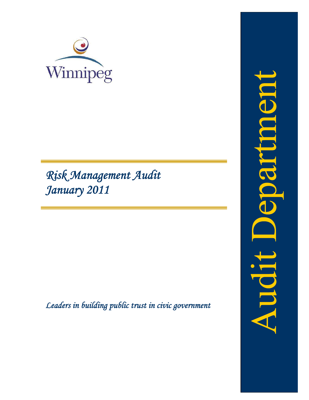

# *Risk Management Audit January 2011*

*Leaders in building public trust in civic government*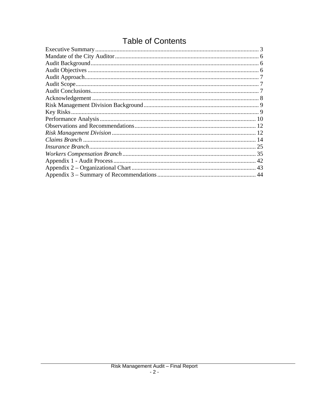# **Table of Contents**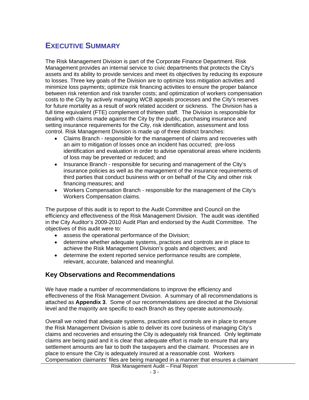# <span id="page-3-0"></span>**EXECUTIVE SUMMARY**

The Risk Management Division is part of the Corporate Finance Department. Risk Management provides an internal service to civic departments that protects the City's assets and its ability to provide services and meet its objectives by reducing its exposure to losses. Three key goals of the Division are to optimize loss mitigation activities and minimize loss payments; optimize risk financing activities to ensure the proper balance between risk retention and risk transfer costs; and optimization of workers compensation costs to the City by actively managing WCB appeals processes and the City's reserves for future mortality as a result of work related accident or sickness. The Division has a full time equivalent (FTE) complement of thirteen staff. The Division is responsible for dealing with claims made against the City by the public, purchasing insurance and setting insurance requirements for the City, risk identification, assessment and loss control. Risk Management Division is made up of three distinct branches:

- Claims Branch responsible for the management of claims and recoveries with an aim to mitigation of losses once an incident has occurred; pre-loss identification and evaluation in order to advise operational areas where incidents of loss may be prevented or reduced; and
- Insurance Branch responsible for securing and management of the City's insurance policies as well as the management of the insurance requirements of third parties that conduct business with or on behalf of the City and other risk financing measures; and
- Workers Compensation Branch responsible for the management of the City's Workers Compensation claims.

The purpose of this audit is to report to the Audit Committee and Council on the efficiency and effectiveness of the Risk Management Division. The audit was identified in the City Auditor's 2009-2010 Audit Plan and endorsed by the Audit Committee. The objectives of this audit were to:

- assess the operational performance of the Division;
- determine whether adequate systems, practices and controls are in place to achieve the Risk Management Division's goals and objectives; and
- determine the extent reported service performance results are complete, relevant, accurate, balanced and meaningful.

# **Key Observations and Recommendations**

We have made a number of recommendations to improve the efficiency and effectiveness of the Risk Management Division. A summary of all recommendations is attached as **Appendix 3**. Some of our recommendations are directed at the Divisional level and the majority are specific to each Branch as they operate autonomously.

Overall we noted that adequate systems, practices and controls are in place to ensure the Risk Management Division is able to deliver its core business of managing City's claims and recoveries and ensuring the City is adequately risk financed. Only legitimate claims are being paid and it is clear that adequate effort is made to ensure that any settlement amounts are fair to both the taxpayers and the claimant. Processes are in place to ensure the City is adequately insured at a reasonable cost. Workers Compensation claimants' files are being managed in a manner that ensures a claimant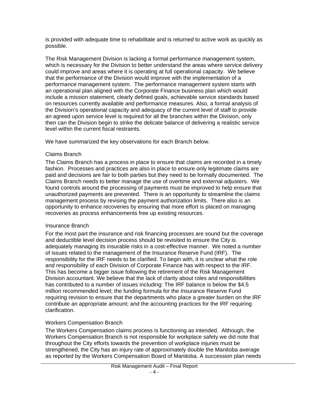is provided with adequate time to rehabilitate and is returned to active work as quickly as possible.

The Risk Management Division is lacking a formal performance management system, which is necessary for the Division to better understand the areas where service delivery could improve and areas where it is operating at full operational capacity. We believe that the performance of the Division would improve with the implementation of a performance management system. The performance management system starts with an operational plan aligned with the Corporate Finance business plan which would include a mission statement, clearly defined goals, achievable service standards based on resources currently available and performance measures. Also, a formal analysis of the Division's operational capacity and adequacy of the current level of staff to provide an agreed upon service level is required for all the branches within the Division, only then can the Division begin to strike the delicate balance of delivering a realistic service level within the current fiscal restraints.

We have summarized the key observations for each Branch below.

#### Claims Branch

The Claims Branch has a process in place to ensure that claims are recorded in a timely fashion. Processes and practices are also in place to ensure only legitimate claims are paid and decisions are fair to both parties but they need to be formally documented. The Claims Branch needs to better manage the use of overtime and external adjusters. We found controls around the processing of payments must be improved to help ensure that unauthorized payments are prevented. There is an opportunity to streamline the claims management process by revising the payment authorization limits. There also is an opportunity to enhance recoveries by ensuring that more effort is placed on managing recoveries as process enhancements free up existing resources.

# Insurance Branch

For the most part the insurance and risk financing processes are sound but the coverage and deductible level decision process should be revisited to ensure the City is adequately managing its insurable risks in a cost-effective manner. We noted a number of issues related to the management of the Insurance Reserve Fund (IRF). The responsibility for the IRF needs to be clarified. To begin with, it is unclear what the role and responsibility of each Division of Corporate Finance has with respect to the IRF. This has become a bigger issue following the retirement of the Risk Management Division accountant. We believe that the lack of clarity about roles and responsibilities has contributed to a number of issues including: The IRF balance is below the \$4.5 million recommended level; the funding formula for the Insurance Reserve Fund requiring revision to ensure that the departments who place a greater burden on the IRF contribute an appropriate amount; and the accounting practices for the IRF requiring clarification.

# Workers Compensation Branch

The Workers Compensation claims process is functioning as intended. Although, the Workers Compensation Branch is not responsible for workplace safety we did note that throughout the City efforts towards the prevention of workplace injuries must be strengthened, the City has an injury rate of approximately double the Manitoba average as reported by the Workers Compensation Board of Manitoba. A succession plan needs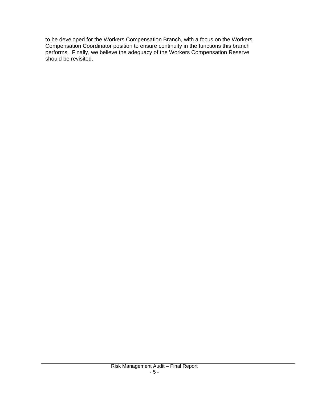to be developed for the Workers Compensation Branch, with a focus on the Workers Compensation Coordinator position to ensure continuity in the functions this branch performs. Finally, we believe the adequacy of the Workers Compensation Reserve should be revisited.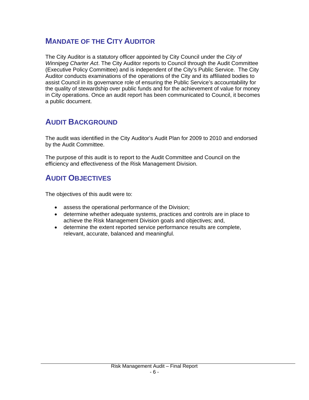# <span id="page-6-0"></span>**MANDATE OF THE CITY AUDITOR**

The City Auditor is a statutory officer appointed by City Council under the *City of Winnipeg Charter Act*. The City Auditor reports to Council through the Audit Committee (Executive Policy Committee) and is independent of the City's Public Service. The City Auditor conducts examinations of the operations of the City and its affiliated bodies to assist Council in its governance role of ensuring the Public Service's accountability for the quality of stewardship over public funds and for the achievement of value for money in City operations. Once an audit report has been communicated to Council, it becomes a public document.

# **AUDIT BACKGROUND**

The audit was identified in the City Auditor's Audit Plan for 2009 to 2010 and endorsed by the Audit Committee.

The purpose of this audit is to report to the Audit Committee and Council on the efficiency and effectiveness of the Risk Management Division.

# **AUDIT OBJECTIVES**

The objectives of this audit were to:

- assess the operational performance of the Division;
- determine whether adequate systems, practices and controls are in place to achieve the Risk Management Division goals and objectives; and,
- determine the extent reported service performance results are complete, relevant, accurate, balanced and meaningful.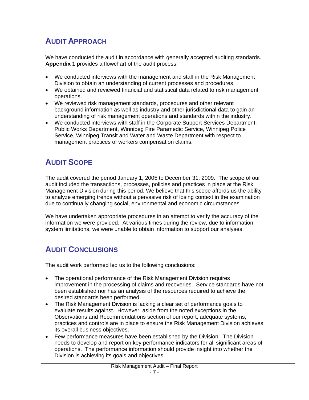# <span id="page-7-0"></span>**AUDIT APPROACH**

We have conducted the audit in accordance with generally accepted auditing standards. **Appendix 1** provides a flowchart of the audit process.

- We conducted interviews with the management and staff in the Risk Management Division to obtain an understanding of current processes and procedures.
- We obtained and reviewed financial and statistical data related to risk management operations.
- We reviewed risk management standards, procedures and other relevant background information as well as industry and other jurisdictional data to gain an understanding of risk management operations and standards within the industry.
- We conducted interviews with staff in the Corporate Support Services Department, Public Works Department, Winnipeg Fire Paramedic Service, Winnipeg Police Service, Winnipeg Transit and Water and Waste Department with respect to management practices of workers compensation claims.

# **AUDIT SCOPE**

The audit covered the period January 1, 2005 to December 31, 2009. The scope of our audit included the transactions, processes, policies and practices in place at the Risk Management Division during this period. We believe that this scope affords us the ability to analyze emerging trends without a pervasive risk of losing context in the examination due to continually changing social, environmental and economic circumstances.

We have undertaken appropriate procedures in an attempt to verify the accuracy of the information we were provided. At various times during the review, due to information system limitations, we were unable to obtain information to support our analyses.

# **AUDIT CONCLUSIONS**

The audit work performed led us to the following conclusions:

- The operational performance of the Risk Management Division requires improvement in the processing of claims and recoveries. Service standards have not been established nor has an analysis of the resources required to achieve the desired standards been performed.
- The Risk Management Division is lacking a clear set of performance goals to evaluate results against. However, aside from the noted exceptions in the Observations and Recommendations section of our report, adequate systems, practices and controls are in place to ensure the Risk Management Division achieves its overall business objectives.
- Few performance measures have been established by the Division. The Division needs to develop and report on key performance indicators for all significant areas of operations. The performance information should provide insight into whether the Division is achieving its goals and objectives.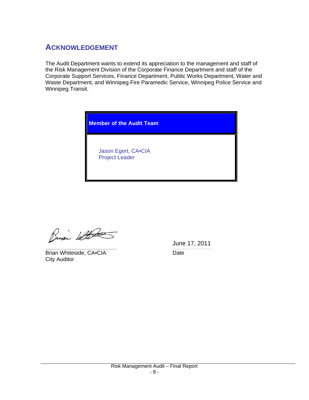# <span id="page-8-0"></span>**ACKNOWLEDGEMENT**

The Audit Department wants to extend its appreciation to the management and staff of the Risk Management Division of the Corporate Finance Department and staff of the Corporate Support Services, Finance Department, Public Works Department, Water and Waste Department, and Winnipeg Fire Paramedic Service, Winnipeg Police Service and Winnipeg Transit.



Busi With

Brian Whiteside, CA•CIA Date City Auditor

 June 17, 2011 \_\_\_\_\_\_\_\_\_\_\_\_\_\_\_\_\_\_\_\_\_\_\_\_\_\_\_\_\_\_\_\_\_\_\_\_\_\_\_\_\_\_\_\_\_\_\_\_\_\_\_ *\_\_\_\_\_\_\_\_\_\_\_\_\_\_\_\_\_\_\_\_\_\_\_\_\_\_\_\_\_*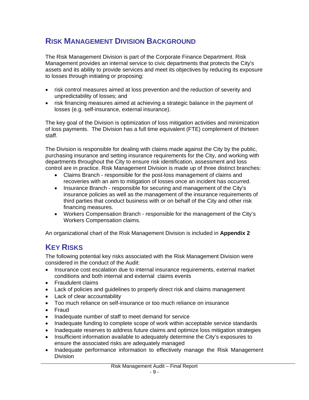# <span id="page-9-0"></span>**RISK MANAGEMENT DIVISION BACKGROUND**

The Risk Management Division is part of the Corporate Finance Department. Risk Management provides an internal service to civic departments that protects the City's assets and its ability to provide services and meet its objectives by reducing its exposure to losses through initiating or proposing:

- risk control measures aimed at loss prevention and the reduction of severity and unpredictability of losses; and
- risk financing measures aimed at achieving a strategic balance in the payment of losses (e.g. self-insurance, external insurance).

The key goal of the Division is optimization of loss mitigation activities and minimization of loss payments. The Division has a full time equivalent (FTE) complement of thirteen staff.

The Division is responsible for dealing with claims made against the City by the public, purchasing insurance and setting insurance requirements for the City, and working with departments throughout the City to ensure risk identification, assessment and loss control are in practice. Risk Management Division is made up of three distinct branches:

- Claims Branch responsible for the post-loss management of claims and recoveries with an aim to mitigation of losses once an incident has occurred.
- Insurance Branch responsible for securing and management of the City's insurance policies as well as the management of the insurance requirements of third parties that conduct business with or on behalf of the City and other risk financing measures.
- Workers Compensation Branch responsible for the management of the City's Workers Compensation claims.

An organizational chart of the Risk Management Division is included in **Appendix 2**

# **KEY RISKS**

The following potential key risks associated with the Risk Management Division were considered in the conduct of the Audit:

- Insurance cost escalation due to internal insurance requirements, external market conditions and both internal and external claims events
- Fraudulent claims
- Lack of policies and guidelines to properly direct risk and claims management
- Lack of clear accountability
- Too much reliance on self-insurance or too much reliance on insurance
- Fraud
- Inadequate number of staff to meet demand for service
- Inadequate funding to complete scope of work within acceptable service standards
- Inadequate reserves to address future claims and optimize loss mitigation strategies
- Insufficient information available to adequately determine the City's exposures to ensure the associated risks are adequately managed
- Inadequate performance information to effectively manage the Risk Management Division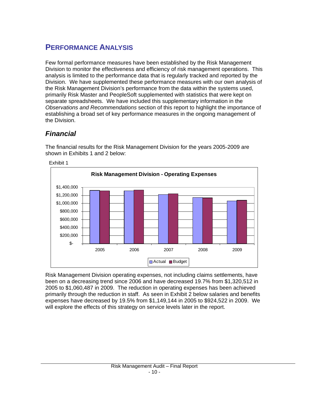# <span id="page-10-0"></span>**PERFORMANCE ANALYSIS**

Few formal performance measures have been established by the Risk Management Division to monitor the effectiveness and efficiency of risk management operations. This analysis is limited to the performance data that is regularly tracked and reported by the Division. We have supplemented these performance measures with our own analysis of the Risk Management Division's performance from the data within the systems used, primarily Risk Master and PeopleSoft supplemented with statistics that were kept on separate spreadsheets. We have included this supplementary information in the *Observations and Recommendations* section of this report to highlight the importance of establishing a broad set of key performance measures in the ongoing management of the Division.

# *Financial*

The financial results for the Risk Management Division for the years 2005-2009 are shown in Exhibits 1 and 2 below:



Exhibit 1

Risk Management Division operating expenses, not including claims settlements, have been on a decreasing trend since 2006 and have decreased 19.7% from \$1,320,512 in 2005 to \$1,060,487 in 2009. The reduction in operating expenses has been achieved primarily through the reduction in staff. As seen in Exhibit 2 below salaries and benefits expenses have decreased by 19.5% from \$1,149,144 in 2005 to \$924,522 in 2009. We will explore the effects of this strategy on service levels later in the report.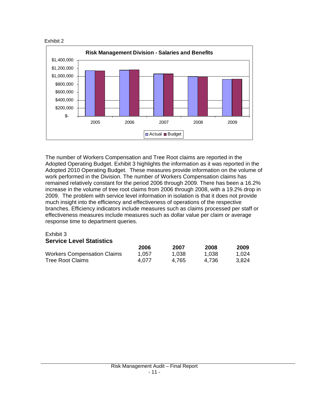



The number of Workers Compensation and Tree Root claims are reported in the Adopted Operating Budget. Exhibit 3 highlights the information as it was reported in the Adopted 2010 Operating Budget. These measures provide information on the volume of work performed in the Division. The number of Workers Compensation claims has remained relatively constant for the period 2006 through 2009. There has been a 16.2% increase in the volume of tree root claims from 2006 through 2008, with a 19.2% drop in 2009. The problem with service level information in isolation is that it does not provide much insight into the efficiency and effectiveness of operations of the respective branches. Efficiency indicators include measures such as claims processed per staff or effectiveness measures include measures such as dollar value per claim or average response time to department queries.

# Exhibit 3

# **Service Level Statistics**

|                                    | 2006  | 2007  | 2008  | 2009  |
|------------------------------------|-------|-------|-------|-------|
| <b>Workers Compensation Claims</b> | 1.057 | 1,038 | 1.038 | 1.024 |
| Tree Root Claims                   | 4.077 | 4.765 | 4.736 | 3.824 |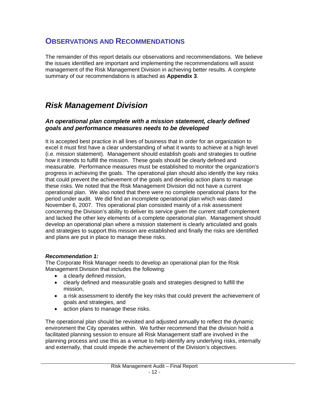# <span id="page-12-0"></span>**OBSERVATIONS AND RECOMMENDATIONS**

The remainder of this report details our observations and recommendations. We believe the issues identified are important and implementing the recommendations will assist management of the Risk Management Division in achieving better results. A complete summary of our recommendations is attached as **Appendix 3**.

# *Risk Management Division*

# *An operational plan complete with a mission statement, clearly defined goals and performance measures needs to be developed*

It is accepted best practice in all lines of business that in order for an organization to excel it must first have a clear understanding of what it wants to achieve at a high level (i.e. mission statement). Management should establish goals and strategies to outline how it intends to fulfill the mission. These goals should be clearly defined and measurable. Performance measures must be established to monitor the organization's progress in achieving the goals. The operational plan should also identify the key risks that could prevent the achievement of the goals and develop action plans to manage these risks. We noted that the Risk Management Division did not have a current operational plan. We also noted that there were no complete operational plans for the period under audit. We did find an incomplete operational plan which was dated November 6, 2007. This operational plan consisted mainly of a risk assessment concerning the Division's ability to deliver its service given the current staff complement and lacked the other key elements of a complete operational plan. Management should develop an operational plan where a mission statement is clearly articulated and goals and strategies to support this mission are established and finally the risks are identified and plans are put in place to manage these risks.

# *Recommendation 1:*

The Corporate Risk Manager needs to develop an operational plan for the Risk Management Division that includes the following:

- a clearly defined mission.
- clearly defined and measurable goals and strategies designed to fulfill the mission,
- a risk assessment to identify the key risks that could prevent the achievement of goals and strategies, and
- action plans to manage these risks.

The operational plan should be revisited and adjusted annually to reflect the dynamic environment the City operates within. We further recommend that the division hold a facilitated planning session to ensure all Risk Management staff are involved in the planning process and use this as a venue to help identify any underlying risks, internally and externally, that could impede the achievement of the Division's objectives.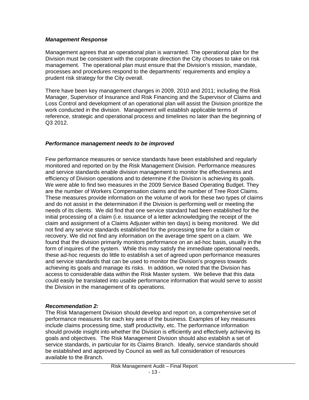#### *Management Response*

Management agrees that an operational plan is warranted. The operational plan for the Division must be consistent with the corporate direction the City chooses to take on risk management. The operational plan must ensure that the Division's mission, mandate, processes and procedures respond to the departments' requirements and employ a prudent risk strategy for the City overall.

There have been key management changes in 2009, 2010 and 2011; including the Risk Manager, Supervisor of Insurance and Risk Financing and the Supervisor of Claims and Loss Control and development of an operational plan will assist the Division prioritize the work conducted in the division. Management will establish applicable terms of reference, strategic and operational process and timelines no later than the beginning of Q3 2012.

### *Performance management needs to be improved*

Few performance measures or service standards have been established and regularly monitored and reported on by the Risk Management Division. Performance measures and service standards enable division management to monitor the effectiveness and efficiency of Division operations and to determine if the Division is achieving its goals. We were able to find two measures in the 2009 Service Based Operating Budget. They are the number of Workers Compensation claims and the number of Tree Root Claims. These measures provide information on the volume of work for these two types of claims and do not assist in the determination if the Division is performing well or meeting the needs of its clients. We did find that one service standard had been established for the initial processing of a claim (i.e. issuance of a letter acknowledging the receipt of the claim and assignment of a Claims Adjuster within ten days) is being monitored. We did not find any service standards established for the processing time for a claim or recovery. We did not find any information on the average time spent on a claim. We found that the division primarily monitors performance on an ad-hoc basis, usually in the form of inquires of the system. While this may satisfy the immediate operational needs, these ad-hoc requests do little to establish a set of agreed upon performance measures and service standards that can be used to monitor the Division's progress towards achieving its goals and manage its risks. In addition, we noted that the Division has access to considerable data within the Risk Master system. We believe that this data could easily be translated into usable performance information that would serve to assist the Division in the management of its operations.

#### *Recommendation 2:*

The Risk Management Division should develop and report on, a comprehensive set of performance measures for each key area of the business. Examples of key measures include claims processing time, staff productivity, etc. The performance information should provide insight into whether the Division is efficiently and effectively achieving its goals and objectives. The Risk Management Division should also establish a set of service standards, in particular for its Claims Branch. Ideally, service standards should be established and approved by Council as well as full consideration of resources available to the Branch.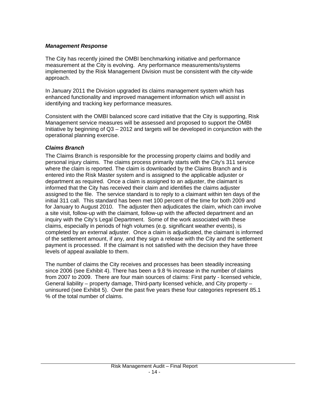# <span id="page-14-0"></span>*Management Response*

The City has recently joined the OMBI benchmarking initiative and performance measurement at the City is evolving. Any performance measurements/systems implemented by the Risk Management Division must be consistent with the city-wide approach.

In January 2011 the Division upgraded its claims management system which has enhanced functionality and improved management information which will assist in identifying and tracking key performance measures.

Consistent with the OMBI balanced score card initiative that the City is supporting, Risk Management service measures will be assessed and proposed to support the OMBI Initiative by beginning of Q3 – 2012 and targets will be developed in conjunction with the operational planning exercise.

### *Claims Branch*

The Claims Branch is responsible for the processing property claims and bodily and personal injury claims. The claims process primarily starts with the City's 311 service where the claim is reported. The claim is downloaded by the Claims Branch and is entered into the Risk Master system and is assigned to the applicable adjuster or department as required. Once a claim is assigned to an adjuster, the claimant is informed that the City has received their claim and identifies the claims adjuster assigned to the file. The service standard is to reply to a claimant within ten days of the initial 311 call. This standard has been met 100 percent of the time for both 2009 and for January to August 2010. The adjuster then adjudicates the claim, which can involve a site visit, follow-up with the claimant, follow-up with the affected department and an inquiry with the City's Legal Department. Some of the work associated with these claims, especially in periods of high volumes (e.g. significant weather events), is completed by an external adjuster. Once a claim is adjudicated, the claimant is informed of the settlement amount, if any, and they sign a release with the City and the settlement payment is processed. If the claimant is not satisfied with the decision they have three levels of appeal available to them.

The number of claims the City receives and processes has been steadily increasing since 2006 (see Exhibit 4). There has been a 9.8 % increase in the number of claims from 2007 to 2009. There are four main sources of claims: First party - licensed vehicle, General liability – property damage, Third-party licensed vehicle, and City property – uninsured (see Exhibit 5). Over the past five years these four categories represent 85.1 % of the total number of claims.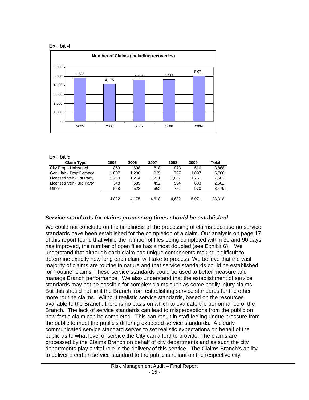#### Exhibit 4



#### Exhibit 5

| <b>Claim Type</b>        | 2005  | 2006  | 2007  | 2008  | 2009  | Total  |
|--------------------------|-------|-------|-------|-------|-------|--------|
| City Prop - Uninsured    | 869   | 698   | 818   | 873   | 610   | 3,868  |
| Gen Liab - Prop Damage   | 1.807 | 1.200 | 935   | 727   | 1.097 | 5,766  |
| Licensed Veh - 1st Party | 1,230 | 1.214 | 1.711 | 1.687 | 1.761 | 7,603  |
| Licensed Veh - 3rd Party | 348   | 535   | 492   | 594   | 633   | 2,602  |
| Other                    | 568   | 528   | 662   | 751   | 970   | 3,479  |
|                          | 4.822 | 4.175 | 4.618 | 4.632 | 5.071 | 23,318 |
|                          |       |       |       |       |       |        |

#### *Service standards for claims processing times should be established*

We could not conclude on the timeliness of the processing of claims because no service standards have been established for the completion of a claim. Our analysis on page 17 of this report found that while the number of files being completed within 30 and 90 days has improved, the number of open files has almost doubled (see Exhibit 6). We understand that although each claim has unique components making it difficult to determine exactly how long each claim will take to process. We believe that the vast majority of claims are routine in nature and that service standards could be established for "routine" claims. These service standards could be used to better measure and manage Branch performance. We also understand that the establishment of service standards may not be possible for complex claims such as some bodily injury claims. But this should not limit the Branch from establishing service standards for the other more routine claims. Without realistic service standards, based on the resources available to the Branch, there is no basis on which to evaluate the performance of the Branch. The lack of service standards can lead to misperceptions from the public on how fast a claim can be completed. This can result in staff feeling undue pressure from the public to meet the public's differing expected service standards. A clearly communicated service standard serves to set realistic expectations on behalf of the public as to what level of service the City can afford to provide. The claims are processed by the Claims Branch on behalf of city departments and as such the city departments play a vital role in the delivery of this service. The Claims Branch's ability to deliver a certain service standard to the public is reliant on the respective city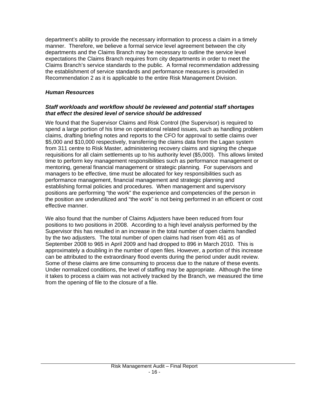department's ability to provide the necessary information to process a claim in a timely manner. Therefore, we believe a formal service level agreement between the city departments and the Claims Branch may be necessary to outline the service level expectations the Claims Branch requires from city departments in order to meet the Claims Branch's service standards to the public. A formal recommendation addressing the establishment of service standards and performance measures is provided in Recommendation 2 as it is applicable to the entire Risk Management Division.

# *Human Resources*

# *Staff workloads and workflow should be reviewed and potential staff shortages that effect the desired level of service should be addressed*

We found that the Supervisor Claims and Risk Control (the Supervisor) is required to spend a large portion of his time on operational related issues, such as handling problem claims, drafting briefing notes and reports to the CFO for approval to settle claims over \$5,000 and \$10,000 respectively, transferring the claims data from the Lagan system from 311 centre to Risk Master, administering recovery claims and signing the cheque requisitions for all claim settlements up to his authority level (\$5,000). This allows limited time to perform key management responsibilities such as performance management or mentoring, general financial management or strategic planning. For supervisors and managers to be effective, time must be allocated for key responsibilities such as performance management, financial management and strategic planning and establishing formal policies and procedures. When management and supervisory positions are performing "the work" the experience and competencies of the person in the position are underutilized and "the work" is not being performed in an efficient or cost effective manner.

We also found that the number of Claims Adjusters have been reduced from four positions to two positions in 2008. According to a high level analysis performed by the Supervisor this has resulted in an increase in the total number of open claims handled by the two adjusters. The total number of open claims had risen from 461 as of September 2008 to 965 in April 2009 and had dropped to 896 in March 2010. This is approximately a doubling in the number of open files. However, a portion of this increase can be attributed to the extraordinary flood events during the period under audit review. Some of these claims are time consuming to process due to the nature of these events. Under normalized conditions, the level of staffing may be appropriate. Although the time it takes to process a claim was not actively tracked by the Branch, we measured the time from the opening of file to the closure of a file.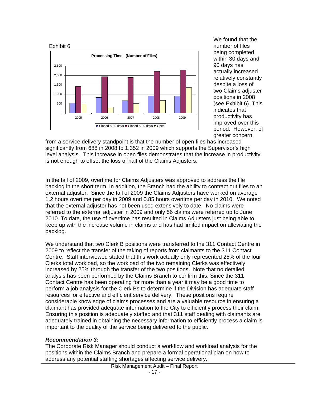

We found that the number of files being completed within 30 days and 90 days has actually increased relatively constantly despite a loss of two Claims adjuster positions in 2008 (see Exhibit 6). This indicates that productivity has improved over this period. However, of greater concern

from a service delivery standpoint is that the number of open files has increased significantly from 688 in 2008 to 1,352 in 2009 which supports the Supervisor's high level analysis. This increase in open files demonstrates that the increase in productivity is not enough to offset the loss of half of the Claims Adjusters.

In the fall of 2009, overtime for Claims Adjusters was approved to address the file backlog in the short term. In addition, the Branch had the ability to contract out files to an external adjuster. Since the fall of 2009 the Claims Adjusters have worked on average 1.2 hours overtime per day in 2009 and 0.85 hours overtime per day in 2010. We noted that the external adjuster has not been used extensively to date. No claims were referred to the external adjuster in 2009 and only 56 claims were referred up to June 2010. To date, the use of overtime has resulted in Claims Adjusters just being able to keep up with the increase volume in claims and has had limited impact on alleviating the backlog.

We understand that two Clerk B positions were transferred to the 311 Contact Centre in 2009 to reflect the transfer of the taking of reports from claimants to the 311 Contact Centre. Staff interviewed stated that this work actually only represented 25% of the four Clerks total workload, so the workload of the two remaining Clerks was effectively increased by 25% through the transfer of the two positions. Note that no detailed analysis has been performed by the Claims Branch to confirm this. Since the 311 Contact Centre has been operating for more than a year it may be a good time to perform a job analysis for the Clerk Bs to determine if the Division has adequate staff resources for effective and efficient service delivery. These positions require considerable knowledge of claims processes and are a valuable resource in ensuring a claimant has provided adequate information to the City to efficiently process their claim. Ensuring this position is adequately staffed and that 311 staff dealing with claimants are adequately trained in obtaining the necessary information to efficiently process a claim is important to the quality of the service being delivered to the public.

# *Recommendation 3:*

The Corporate Risk Manager should conduct a workflow and workload analysis for the positions within the Claims Branch and prepare a formal operational plan on how to address any potential staffing shortages affecting service delivery.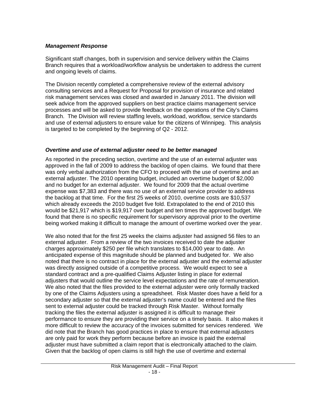### *Management Response*

Significant staff changes, both in supervision and service delivery within the Claims Branch requires that a workload/workflow analysis be undertaken to address the current and ongoing levels of claims.

The Division recently completed a comprehensive review of the external advisory consulting services and a Request for Proposal for provision of insurance and related risk management services was closed and awarded in January 2011. The division will seek advice from the approved suppliers on best practice claims management service processes and will be asked to provide feedback on the operations of the City's Claims Branch. The Division will review staffing levels, workload, workflow, service standards and use of external adjusters to ensure value for the citizens of Winnipeg. This analysis is targeted to be completed by the beginning of Q2 - 2012.

### *Overtime and use of external adjuster need to be better managed*

As reported in the preceding section, overtime and the use of an external adjuster was approved in the fall of 2009 to address the backlog of open claims. We found that there was only verbal authorization from the CFO to proceed with the use of overtime and an external adjuster. The 2010 operating budget, included an overtime budget of \$2,000 and no budget for an external adjuster. We found for 2009 that the actual overtime expense was \$7,383 and there was no use of an external service provider to address the backlog at that time. For the first 25 weeks of 2010, overtime costs are \$10,537 which already exceeds the 2010 budget five fold. Extrapolated to the end of 2010 this would be \$21,917 which is \$19,917 over budget and ten times the approved budget. We found that there is no specific requirement for supervisory approval prior to the overtime being worked making it difficult to manage the amount of overtime worked over the year.

We also noted that for the first 25 weeks the claims adjuster had assigned 56 files to an external adjuster. From a review of the two invoices received to date the adjuster charges approximately \$250 per file which translates to \$14,000 year to date. An anticipated expense of this magnitude should be planned and budgeted for. We also noted that there is no contract in place for the external adjuster and the external adjuster was directly assigned outside of a competitive process. We would expect to see a standard contract and a pre-qualified Claims Adjuster listing in place for external adjusters that would outline the service level expectations and the rate of remuneration. We also noted that the files provided to the external adjuster were only formally tracked by one of the Claims Adjusters using a spreadsheet. Risk Master does have a field for a secondary adjuster so that the external adjuster's name could be entered and the files sent to external adjuster could be tracked through Risk Master. Without formally tracking the files the external adjuster is assigned it is difficult to manage their performance to ensure they are providing their service on a timely basis. It also makes it more difficult to review the accuracy of the invoices submitted for services rendered. We did note that the Branch has good practices in place to ensure that external adjusters are only paid for work they perform because before an invoice is paid the external adjuster must have submitted a claim report that is electronically attached to the claim. Given that the backlog of open claims is still high the use of overtime and external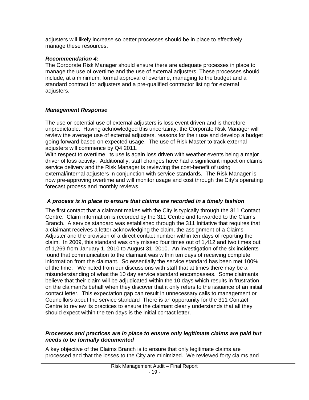adjusters will likely increase so better processes should be in place to effectively manage these resources.

# *Recommendation 4:*

The Corporate Risk Manager should ensure there are adequate processes in place to manage the use of overtime and the use of external adjusters. These processes should include, at a minimum, formal approval of overtime, managing to the budget and a standard contract for adjusters and a pre-qualified contractor listing for external adjusters.

# *Management Response*

The use or potential use of external adjusters is loss event driven and is therefore unpredictable. Having acknowledged this uncertainty, the Corporate Risk Manager will review the average use of external adjusters, reasons for their use and develop a budget going forward based on expected usage. The use of Risk Master to track external adjusters will commence by Q4 2011.

With respect to overtime, its use is again loss driven with weather events being a major driver of loss activity. Additionally, staff changes have had a significant impact on claims service delivery and the Risk Manager is reviewing the cost-benefit of using external/internal adjusters in conjunction with service standards. The Risk Manager is now pre-approving overtime and will monitor usage and cost through the City's operating forecast process and monthly reviews.

# *A process is in place to ensure that claims are recorded in a timely fashion*

The first contact that a claimant makes with the City is typically through the 311 Contact Centre. Claim information is recorded by the 311 Centre and forwarded to the Claims Branch. A service standard was established through the 311 Initiative that requires that a claimant receives a letter acknowledging the claim, the assignment of a Claims Adjuster and the provision of a direct contact number within ten days of reporting the claim. In 2009, this standard was only missed four times out of 1,412 and two times out of 1,269 from January 1, 2010 to August 31, 2010. An investigation of the six incidents found that communication to the claimant was within ten days of receiving complete information from the claimant. So essentially the service standard has been met 100% of the time. We noted from our discussions with staff that at times there may be a misunderstanding of what the 10 day service standard encompasses. Some claimants believe that their claim will be adjudicated within the 10 days which results in frustration on the claimant's behalf when they discover that it only refers to the issuance of an initial contact letter. This expectation gap can result in unnecessary calls to management or Councillors about the service standard There is an opportunity for the 311 Contact Centre to review its practices to ensure the claimant clearly understands that all they should expect within the ten days is the initial contact letter.

#### *Processes and practices are in place to ensure only legitimate claims are paid but needs to be formally documented*

A key objective of the Claims Branch is to ensure that only legitimate claims are processed and that the losses to the City are minimized. We reviewed forty claims and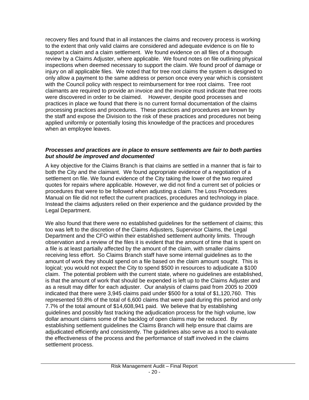recovery files and found that in all instances the claims and recovery process is working to the extent that only valid claims are considered and adequate evidence is on file to support a claim and a claim settlement. We found evidence on all files of a thorough review by a Claims Adjuster, where applicable. We found notes on file outlining physical inspections when deemed necessary to support the claim. We found proof of damage or injury on all applicable files. We noted that for tree root claims the system is designed to only allow a payment to the same address or person once every year which is consistent with the Council policy with respect to reimbursement for tree root claims. Tree root claimants are required to provide an invoice and the invoice must indicate that tree roots were discovered in order to be claimed. However, despite good processes and practices in place we found that there is no current formal documentation of the claims processing practices and procedures. These practices and procedures are known by the staff and expose the Division to the risk of these practices and procedures not being applied uniformly or potentially losing this knowledge of the practices and procedures when an employee leaves.

#### *Processes and practices are in place to ensure settlements are fair to both parties but should be improved and documented*

A key objective for the Claims Branch is that claims are settled in a manner that is fair to both the City and the claimant. We found appropriate evidence of a negotiation of a settlement on file. We found evidence of the City taking the lower of the two required quotes for repairs where applicable. However, we did not find a current set of policies or procedures that were to be followed when adjusting a claim. The Loss Procedures Manual on file did not reflect the current practices, procedures and technology in place. Instead the claims adjusters relied on their experience and the guidance provided by the Legal Department.

We also found that there were no established guidelines for the settlement of claims; this too was left to the discretion of the Claims Adjusters, Supervisor Claims, the Legal Department and the CFO within their established settlement authority limits. Through observation and a review of the files it is evident that the amount of time that is spent on a file is at least partially affected by the amount of the claim, with smaller claims receiving less effort. So Claims Branch staff have some internal guidelines as to the amount of work they should spend on a file based on the claim amount sought. This is logical; you would not expect the City to spend \$500 in resources to adjudicate a \$100 claim. The potential problem with the current state, where no guidelines are established, is that the amount of work that should be expended is left up to the Claims Adjuster and as a result may differ for each adjuster. Our analysis of claims paid from 2005 to 2009 indicated that there were 3,945 claims paid under \$500 for a total of \$1,120,760. This represented 59.8% of the total of 6,600 claims that were paid during this period and only 7.7% of the total amount of \$14,608,941 paid. We believe that by establishing guidelines and possibly fast tracking the adjudication process for the high volume, low dollar amount claims some of the backlog of open claims may be reduced. By establishing settlement guidelines the Claims Branch will help ensure that claims are adjudicated efficiently and consistently. The guidelines also serve as a tool to evaluate the effectiveness of the process and the performance of staff involved in the claims settlement process.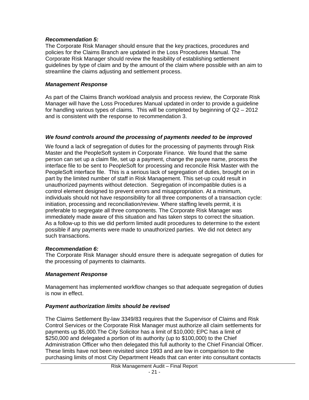#### *Recommendation 5:*

The Corporate Risk Manager should ensure that the key practices, procedures and policies for the Claims Branch are updated in the Loss Procedures Manual. The Corporate Risk Manager should review the feasibility of establishing settlement guidelines by type of claim and by the amount of the claim where possible with an aim to streamline the claims adjusting and settlement process.

### *Management Response*

As part of the Claims Branch workload analysis and process review, the Corporate Risk Manager will have the Loss Procedures Manual updated in order to provide a guideline for handling various types of claims. This will be completed by beginning of Q2 – 2012 and is consistent with the response to recommendation 3.

# *We found controls around the processing of payments needed to be improved*

We found a lack of segregation of duties for the processing of payments through Risk Master and the PeopleSoft system in Corporate Finance. We found that the same person can set up a claim file, set up a payment, change the payee name, process the interface file to be sent to PeopleSoft for processing and reconcile Risk Master with the PeopleSoft interface file. This is a serious lack of segregation of duties, brought on in part by the limited number of staff in Risk Management. This set-up could result in unauthorized payments without detection. Segregation of incompatible duties is a control element designed to prevent errors and misappropriation. At a minimum, individuals should not have responsibility for all three components of a transaction cycle: initiation, processing and reconciliation/review. Where staffing levels permit, it is preferable to segregate all three components. The Corporate Risk Manager was immediately made aware of this situation and has taken steps to correct the situation. As a follow-up to this we did perform limited audit procedures to determine to the extent possible if any payments were made to unauthorized parties. We did not detect any such transactions.

#### *Recommendation 6:*

The Corporate Risk Manager should ensure there is adequate segregation of duties for the processing of payments to claimants.

#### *Management Response*

Management has implemented workflow changes so that adequate segregation of duties is now in effect.

#### *Payment authorization limits should be revised*

The Claims Settlement By-law 3349/83 requires that the Supervisor of Claims and Risk Control Services or the Corporate Risk Manager must authorize all claim settlements for payments up \$5,000.The City Solicitor has a limit of \$10,000; EPC has a limit of \$250,000 and delegated a portion of its authority (up to \$100,000) to the Chief Administration Officer who then delegated this full authority to the Chief Financial Officer. These limits have not been revisited since 1993 and are low in comparison to the purchasing limits of most City Department Heads that can enter into consultant contacts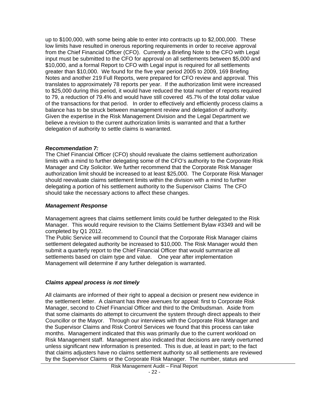up to \$100,000, with some being able to enter into contracts up to \$2,000,000. These low limits have resulted in onerous reporting requirements in order to receive approval from the Chief Financial Officer (CFO). Currently a Briefing Note to the CFO with Legal input must be submitted to the CFO for approval on all settlements between \$5,000 and \$10,000, and a formal Report to CFO with Legal input is required for all settlements greater than \$10,000. We found for the five year period 2005 to 2009, 169 Briefing Notes and another 219 Full Reports, were prepared for CFO review and approval. This translates to approximately 78 reports per year. If the authorization limit were increased to \$25,000 during this period, it would have reduced the total number of reports required to 79, a reduction of 79.4% and would have still covered 45.7% of the total dollar value of the transactions for that period. In order to effectively and efficiently process claims a balance has to be struck between management review and delegation of authority. Given the expertise in the Risk Management Division and the Legal Department we believe a revision to the current authorization limits is warranted and that a further delegation of authority to settle claims is warranted.

### *Recommendation 7:*

The Chief Financial Officer (CFO) should revaluate the claims settlement authorization limits with a mind to further delegating some of the CFO's authority to the Corporate Risk Manager and City Solicitor. We further recommend that the Corporate Risk Manager authorization limit should be increased to at least \$25,000. The Corporate Risk Manager should reevaluate claims settlement limits within the division with a mind to further delegating a portion of his settlement authority to the Supervisor Claims The CFO should take the necessary actions to affect these changes.

#### *Management Response*

Management agrees that claims settlement limits could be further delegated to the Risk Manager. This would require revision to the Claims Settlement Bylaw #3349 and will be completed by Q1 2012.

The Public Service will recommend to Council that the Corporate Risk Manager claims settlement delegated authority be increased to \$10,000. The Risk Manager would then submit a quarterly report to the Chief Financial Officer that would summarize all settlements based on claim type and value. One year after implementation Management will determine if any further delegation is warranted.

# *Claims appeal process is not timely*

All claimants are informed of their right to appeal a decision or present new evidence in the settlement letter. A claimant has three avenues for appeal: first to Corporate Risk Manager, second to Chief Financial Officer and third to the Ombudsman. Aside from that some claimants do attempt to circumvent the system through direct appeals to their Councillor or the Mayor. Through our interviews with the Corporate Risk Manager and the Supervisor Claims and Risk Control Services we found that this process can take months. Management indicated that this was primarily due to the current workload on Risk Management staff. Management also indicated that decisions are rarely overturned unless significant new information is presented. This is due, at least in part; to the fact that claims adjusters have no claims settlement authority so all settlements are reviewed by the Supervisor Claims or the Corporate Risk Manager. The number, status and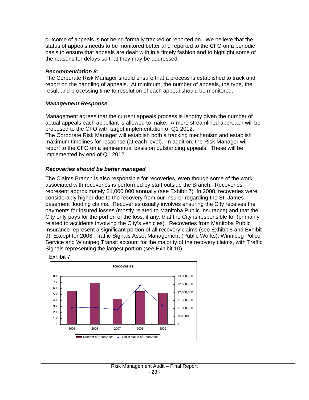outcome of appeals is not being formally tracked or reported on. We believe that the status of appeals needs to be monitored better and reported to the CFO on a periodic basis to ensure that appeals are dealt with in a timely fashion and to highlight some of the reasons for delays so that they may be addressed.

#### *Recommendation 8:*

The Corporate Risk Manager should ensure that a process is established to track and report on the handling of appeals. At minimum, the number of appeals, the type, the result and processing time to resolution of each appeal should be monitored.

#### *Management Response*

Management agrees that the current appeals process is lengthy given the number of actual appeals each appellant is allowed to make. A more streamlined approach will be proposed to the CFO with target implementation of Q1 2012.

The Corporate Risk Manager will establish both a tracking mechanism and establish maximum timelines for response (at each level). In addition, the Risk Manager will report to the CFO on a semi-annual basis on outstanding appeals. These will be implemented by end of Q1 2012.

#### *Recoveries should be better managed*

The Claims Branch is also responsible for recoveries, even though some of the work associated with recoveries is performed by staff outside the Branch. Recoveries represent approximately \$1,000,000 annually (see Exhibit 7)*.* In 2008, recoveries were considerably higher due to the recovery from our insurer regarding the St. James basement flooding claims. Recoveries usually involves ensuring the City receives the payments for insured losses (mostly related to Manitoba Public Insurance) and that the City only pays for the portion of the loss, if any, that the City is responsible for (primarily related to accidents involving the City's vehicles). Recoveries from Manitoba Public Insurance represent a significant portion of all recovery claims (see Exhibit 8 and Exhibit 9). Except for 2008, Traffic Signals Asset Management (Public Works), Winnipeg Police Service and Winnipeg Transit account for the majority of the recovery claims, with Traffic Signals representing the largest portion (see Exhibit 10).

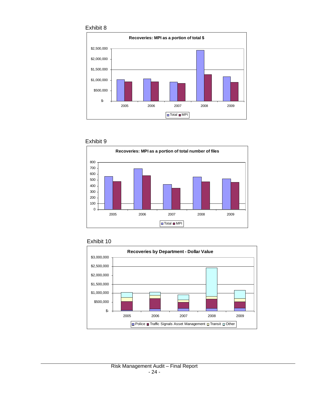







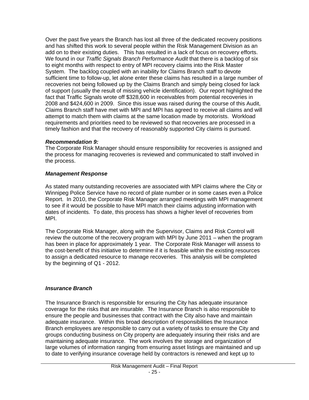<span id="page-25-0"></span>Over the past five years the Branch has lost all three of the dedicated recovery positions and has shifted this work to several people within the Risk Management Division as an add on to their existing duties. This has resulted in a lack of focus on recovery efforts. We found in our *Traffic Signals Branch Performance Audit* that there is a backlog of six to eight months with respect to entry of MPI recovery claims into the Risk Master System. The backlog coupled with an inability for Claims Branch staff to devote sufficient time to follow-up, let alone enter these claims has resulted in a large number of recoveries not being followed up by the Claims Branch and simply being closed for lack of support (usually the result of missing vehicle identification). Our report highlighted the fact that Traffic Signals wrote off \$328,600 in receivables from potential recoveries in 2008 and \$424,600 in 2009. Since this issue was raised during the course of this Audit, Claims Branch staff have met with MPI and MPI has agreed to receive all claims and will attempt to match them with claims at the same location made by motorists. Workload requirements and priorities need to be reviewed so that recoveries are processed in a timely fashion and that the recovery of reasonably supported City claims is pursued.

#### *Recommendation 9:*

The Corporate Risk Manager should ensure responsibility for recoveries is assigned and the process for managing recoveries is reviewed and communicated to staff involved in the process.

### *Management Response*

As stated many outstanding recoveries are associated with MPI claims where the City or Winnipeg Police Service have no record of plate number or in some cases even a Police Report. In 2010, the Corporate Risk Manager arranged meetings with MPI management to see if it would be possible to have MPI match their claims adjusting information with dates of incidents. To date, this process has shows a higher level of recoveries from MPI.

The Corporate Risk Manager, along with the Supervisor, Claims and Risk Control will review the outcome of the recovery program with MPI by June 2011 – when the program has been in place for approximately 1 year. The Corporate Risk Manager will assess to the cost-benefit of this initiative to determine if it is feasible within the existing resources to assign a dedicated resource to manage recoveries. This analysis will be completed by the beginning of Q1 - 2012.

# *Insurance Branch*

The Insurance Branch is responsible for ensuring the City has adequate insurance coverage for the risks that are insurable. The Insurance Branch is also responsible to ensure the people and businesses that contract with the City also have and maintain adequate insurance. Within this broad description of responsibilities the Insurance Branch employees are responsible to carry out a variety of tasks to ensure the City and groups conducting business on City property are adequately insuring their risks and are maintaining adequate insurance. The work involves the storage and organization of large volumes of information ranging from ensuring asset listings are maintained and up to date to verifying insurance coverage held by contractors is renewed and kept up to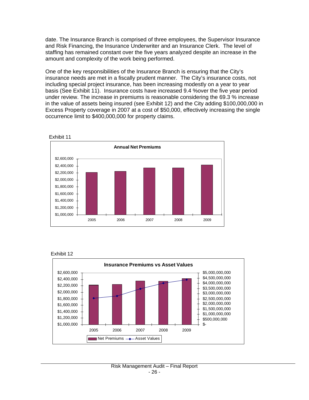date. The Insurance Branch is comprised of three employees, the Supervisor Insurance and Risk Financing, the Insurance Underwriter and an Insurance Clerk. The level of staffing has remained constant over the five years analyzed despite an increase in the amount and complexity of the work being performed.

One of the key responsibilities of the Insurance Branch is ensuring that the City's insurance needs are met in a fiscally prudent manner. The City's insurance costs, not including special project insurance, has been increasing modestly on a year to year basis (See Exhibit 11). Insurance costs have increased 9.4 %over the five year period under review. The increase in premiums is reasonable considering the 69.3 % increase in the value of assets being insured (see Exhibit 12) and the City adding \$100,000,000 in Excess Property coverage in 2007 at a cost of \$50,000, effectively increasing the single occurrence limit to \$400,000,000 for property claims.



Exhibit 12

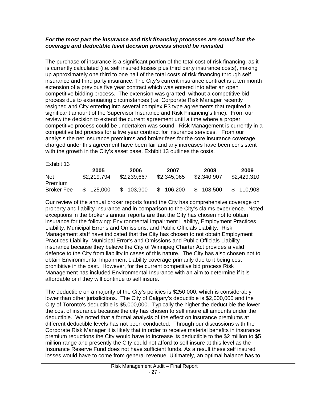#### *For the most part the insurance and risk financing processes are sound but the coverage and deductible level decision process should be revisited*

The purchase of insurance is a significant portion of the total cost of risk financing, as it is currently calculated (i.e. self insured losses plus third party insurance costs), making up approximately one third to one half of the total costs of risk financing through self insurance and third party insurance. The City's current insurance contract is a ten month extension of a previous five year contract which was entered into after an open competitive bidding process. The extension was granted, without a competitive bid process due to extenuating circumstances (i.e. Corporate Risk Manager recently resigned and City entering into several complex P3 type agreements that required a significant amount of the Supervisor Insurance and Risk Financing's time). From our review the decision to extend the current agreement until a time where a proper competitive process could be undertaken was sound. Risk Management is currently in a competitive bid process for a five year contract for insurance services. From our analysis the net insurance premiums and broker fees for the core insurance coverage charged under this agreement have been fair and any increases have been consistent with the growth in the City's asset base. Exhibit 13 outlines the costs.

Exhibit 13

|                   | 2005        | 2006        | 2007        | 2008        | 2009        |
|-------------------|-------------|-------------|-------------|-------------|-------------|
| Net               | \$2,219,794 | \$2,239,667 | \$2,345,065 | \$2,340,907 | \$2,429,310 |
| Premium           |             |             |             |             |             |
| <b>Broker Fee</b> | \$125,000   | \$103,900   | \$106,200   | \$108,500   | \$110,908   |

Our review of the annual broker reports found the City has comprehensive coverage on property and liability insurance and in comparison to the City's claims experience. Noted exceptions in the broker's annual reports are that the City has chosen not to obtain insurance for the following: Environmental Impairment Liability, Employment Practices Liability, Municipal Error's and Omissions, and Public Officials Liability. Risk Management staff have indicated that the City has chosen to not obtain Employment Practices Liability, Municipal Error's and Omissions and Public Officials Liability insurance because they believe the City of Winnipeg Charter Act provides a valid defence to the City from liability in cases of this nature. The City has also chosen not to obtain Environmental Impairment Liability coverage primarily due to it being cost prohibitive in the past. However, for the current competitive bid process Risk Management has included Environmental Insurance with an aim to determine if it is affordable or if they will continue to self insure.

The deductible on a majority of the City's policies is \$250,000, which is considerably lower than other jurisdictions. The City of Calgary's deductible is \$2,000,000 and the City of Toronto's deductible is \$5,000,000. Typically the higher the deductible the lower the cost of insurance because the city has chosen to self insure all amounts under the deductible. We noted that a formal analysis of the effect on insurance premiums at different deductible levels has not been conducted. Through our discussions with the Corporate Risk Manager it is likely that in order to receive material benefits in insurance premium reductions the City would have to increase its deductible to the \$2 million to \$5 million range and presently the City could not afford to self insure at this level as the Insurance Reserve Fund does not have sufficient funds. As a result these self insured losses would have to come from general revenue. Ultimately, an optimal balance has to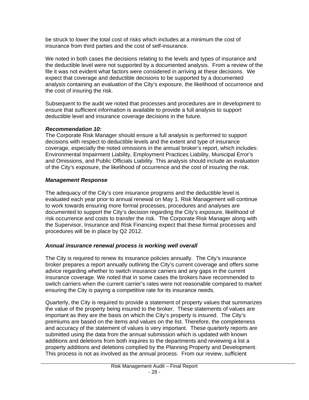be struck to lower the total cost of risks which includes at a minimum the cost of insurance from third parties and the cost of self-insurance.

We noted in both cases the decisions relating to the levels and types of insurance and the deductible level were not supported by a documented analysis. From a review of the file it was not evident what factors were considered in arriving at these decisions. We expect that coverage and deductible decisions to be supported by a documented analysis containing an evaluation of the City's exposure, the likelihood of occurrence and the cost of insuring the risk.

Subsequent to the audit we noted that processes and procedures are in development to ensure that sufficient information is available to provide a full analysis to support deductible level and insurance coverage decisions in the future.

# *Recommendation 10:*

The Corporate Risk Manager should ensure a full analysis is performed to support decisions with respect to deductible levels and the extent and type of insurance coverage, especially the noted omissions in the annual broker's report, which includes: Environmental Impairment Liability, Employment Practices Liability, Municipal Error's and Omissions, and Public Officials Liability. This analysis should include an evaluation of the City's exposure, the likelihood of occurrence and the cost of insuring the risk.

# *Management Response*

The adequacy of the City's core insurance programs and the deductible level is evaluated each year prior to annual renewal on May 1. Risk Management will continue to work towards ensuring more formal processes, procedures and analyses are documented to support the City's decision regarding the City's exposure, likelihood of risk occurrence and costs to transfer the risk. The Corporate Risk Manager along with the Supervisor, Insurance and Risk Financing expect that these formal processes and procedures will be in place by Q2 2012.

# *Annual insurance renewal process is working well overall*

The City is required to renew its insurance policies annually. The City's insurance broker prepares a report annually outlining the City's current coverage and offers some advice regarding whether to switch insurance carriers and any gaps in the current insurance coverage. We noted that in some cases the brokers have recommended to switch carriers when the current carrier's rates were not reasonable compared to market ensuring the City is paying a competitive rate for its insurance needs.

Quarterly, the City is required to provide a statement of property values that summarizes the value of the property being insured to the broker. These statements of values are important as they are the basis on which the City's property is insured. The City's premiums are based on the items and values on the list. Therefore, the completeness and accuracy of the statement of values is very important. These quarterly reports are submitted using the data from the annual submission which is updated with known additions and deletions from both inquires to the departments and reviewing a list a property additions and deletions complied by the Planning Property and Development. This process is not as involved as the annual process. From our review, sufficient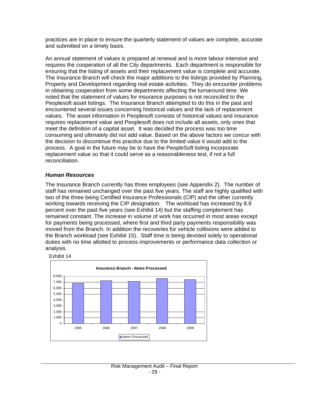practices are in place to ensure the quarterly statement of values are complete, accurate and submitted on a timely basis.

An annual statement of values is prepared at renewal and is more labour intensive and requires the cooperation of all the City departments. Each department is responsible for ensuring that the listing of assets and their replacement value is complete and accurate. The Insurance Branch will check the major additions to the listings provided by Planning, Property and Development regarding real estate activities. They do encounter problems in obtaining cooperation from some departments affecting the turnaround time. We noted that the statement of values for insurance purposes is not reconciled to the Peoplesoft asset listings. The Insurance Branch attempted to do this in the past and encountered several issues concerning historical values and the lack of replacement values. The asset information in Peoplesoft consists of historical values and insurance requires replacement value and Peoplesoft does not include all assets, only ones that meet the definition of a capital asset. It was decided the process was too time consuming and ultimately did not add value. Based on the above factors we concur with the decision to discontinue this practice due to the limited value it would add to the process. A goal in the future may be to have the PeopleSoft listing incorporate replacement value so that it could serve as a reasonableness test, if not a full reconciliation.

### *Human Resources*

The Insurance Branch currently has three employees (see Appendix 2). The number of staff has remained unchanged over the past five years. The staff are highly qualified with two of the three being Certified Insurance Professionals (CIP) and the other currently working towards receiving the CIP designation. The workload has increased by 8.9 percent over the past five years (see Exhibit 14) but the staffing complement has remained constant. The increase in volume of work has occurred in most areas except for payments being processed, where first and third party payments responsibility was moved from the Branch. In addition the recoveries for vehicle collisions were added to the Branch workload (see Exhibit 15). Staff time is being devoted solely to operational duties with no time allotted to process improvements or performance data collection or analysis.

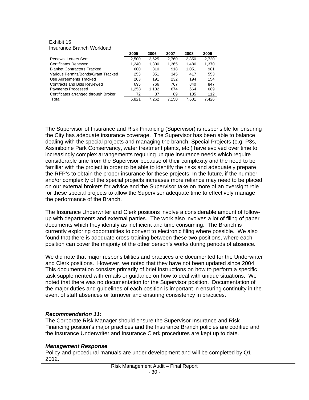#### Exhibit 15 Insurance Branch Workload

|                                      | 2005  | 2006  | 2007  | 2008  | 2009  |
|--------------------------------------|-------|-------|-------|-------|-------|
| <b>Renewal Letters Sent</b>          | 2.500 | 2.625 | 2.760 | 2.850 | 2.720 |
| Certificates Renewed                 | 1.240 | 1.300 | 1.365 | 1.480 | 1.370 |
| <b>Blanket Contractors Tracked</b>   | 600   | 810   | 918   | 1.051 | 981   |
| Various Permits/Bonds/Grant Tracked  | 253   | 351   | 345   | 417   | 553   |
| Use Agreements Tracked               | 203   | 191   | 232   | 194   | 154   |
| <b>Contracts and Bids Reviewed</b>   | 695   | 766   | 767   | 840   | 847   |
| <b>Payments Processed</b>            | 1.258 | 1.132 | 674   | 664   | 689   |
| Certificates arranged through Broker | 72    | 87    | 89    | 105   | 112   |
| Total                                | 6.821 | 7.262 | 7.150 | 7.601 | 7.426 |

The Supervisor of Insurance and Risk Financing (Supervisor) is responsible for ensuring the City has adequate insurance coverage. The Supervisor has been able to balance dealing with the special projects and managing the branch. Special Projects (e.g. P3s, Assiniboine Park Conservancy, water treatment plants, etc.) have evolved over time to increasingly complex arrangements requiring unique insurance needs which require considerable time from the Supervisor because of their complexity and the need to be familiar with the project in order to be able to identify the risks and adequately prepare the RFP's to obtain the proper insurance for these projects. In the future, if the number and/or complexity of the special projects increases more reliance may need to be placed on our external brokers for advice and the Supervisor take on more of an oversight role for these special projects to allow the Supervisor adequate time to effectively manage the performance of the Branch.

The Insurance Underwriter and Clerk positions involve a considerable amount of followup with departments and external parties. The work also involves a lot of filing of paper documents which they identify as inefficient and time consuming. The Branch is currently exploring opportunities to convert to electronic filing where possible. We also found that there is adequate cross-training between these two positions, where each position can cover the majority of the other person's works during periods of absence.

We did note that major responsibilities and practices are documented for the Underwriter and Clerk positions. However, we noted that they have not been updated since 2004. This documentation consists primarily of brief instructions on how to perform a specific task supplemented with emails or guidance on how to deal with unique situations. We noted that there was no documentation for the Supervisor position. Documentation of the major duties and guidelines of each position is important in ensuring continuity in the event of staff absences or turnover and ensuring consistency in practices.

#### *Recommendation 11:*

The Corporate Risk Manager should ensure the Supervisor Insurance and Risk Financing position's major practices and the Insurance Branch policies are codified and the Insurance Underwriter and Insurance Clerk procedures are kept up to date.

#### *Management Response*

Policy and procedural manuals are under development and will be completed by Q1 2012.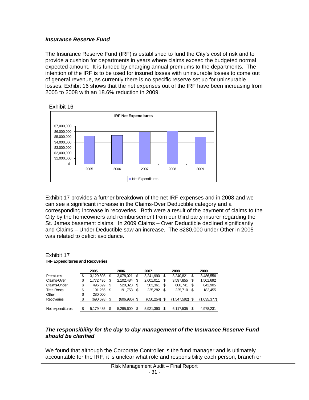#### *Insurance Reserve Fund*

The Insurance Reserve Fund (IRF) is established to fund the City's cost of risk and to provide a cushion for departments in years where claims exceed the budgeted normal expected amount. It is funded by charging annual premiums to the departments. The intention of the IRF is to be used for insured losses with uninsurable losses to come out of general revenue, as currently there is no specific reserve set up for uninsurable losses. Exhibit 16 shows that the net expenses out of the IRF have been increasing from 2005 to 2008 with an 18.6% reduction in 2009.



Exhibit 17 provides a further breakdown of the net IRF expenses and in 2008 and we can see a significant increase in the Claims-Over Deductible category and a corresponding increase in recoveries. Both were a result of the payment of claims to the City by the homeowners and reimbursement from our third party insurer regarding the St. James basement claims. In 2009 Claims – Over Deductible declined significantly and Claims – Under Deductible saw an increase. The \$280,000 under Other in 2005 was related to deficit avoidance.

#### Exhibit 17 **IRF Expenditures and Recoveries**

|                   | 2005 |           | 2006 | 2007       |      |           | 2008 |             | 2009 |             |
|-------------------|------|-----------|------|------------|------|-----------|------|-------------|------|-------------|
| <b>Premiums</b>   | \$   | 3,129,803 | S    | 3,078,021  | S    | 3.241.990 | S    | 3.240.821   | \$   | 3,486,556   |
| Claims-Over       | \$   | 1,772,495 | \$   | 2,102,484  | \$   | 2,601,011 | \$   | 3,597,855   | S    | 1,501,692   |
| Claims-Under      | \$   | 496.599   | S    | 520,328    | \$.  | 503.361   | \$   | 600.741     | \$   | 842,905     |
| <b>Tree Roots</b> | \$   | 191.266   | S    | 191.753    | S    | 225.282   | S    | 225.710     | S    | 182.455     |
| Other             | \$   | 280.000   |      |            |      |           |      |             |      |             |
| Recoveries        | \$   | (690,678) | - \$ | (606, 986) | - \$ | (650.254) | \$.  | (1.547.592) |      | (1,035,377) |
|                   |      |           |      |            |      |           |      |             |      |             |
| Net expenditures  | \$   | 5,179,485 | S    | 5.285.600  | S    | 5.921.390 | S    | 6.117.535   | \$.  | 4,978,231   |

#### *The responsibility for the day to day management of the Insurance Reserve Fund should be clarified*

We found that although the Corporate Controller is the fund manager and is ultimately accountable for the IRF, it is unclear what role and responsibility each person, branch or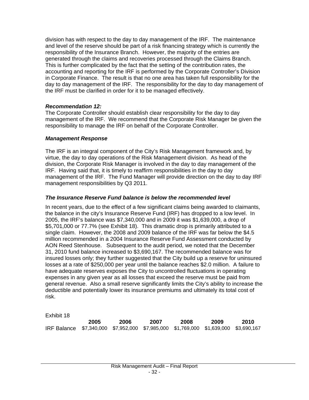division has with respect to the day to day management of the IRF. The maintenance and level of the reserve should be part of a risk financing strategy which is currently the responsibility of the Insurance Branch. However, the majority of the entries are generated through the claims and recoveries processed through the Claims Branch. This is further complicated by the fact that the setting of the contribution rates, the accounting and reporting for the IRF is performed by the Corporate Controller's Division in Corporate Finance. The result is that no one area has taken full responsibility for the day to day management of the IRF. The responsibility for the day to day management of the IRF must be clarified in order for it to be managed effectively.

### *Recommendation 12:*

The Corporate Controller should establish clear responsibility for the day to day management of the IRF. We recommend that the Corporate Risk Manager be given the responsibility to manage the IRF on behalf of the Corporate Controller.

#### *Management Response*

The IRF is an integral component of the City's Risk Management framework and, by virtue, the day to day operations of the Risk Management division. As head of the division, the Corporate Risk Manager is involved in the day to day management of the IRF. Having said that, it is timely to reaffirm responsibilities in the day to day management of the IRF. The Fund Manager will provide direction on the day to day IRF management responsibilities by Q3 2011.

# *The Insurance Reserve Fund balance is below the recommended level*

In recent years, due to the effect of a few significant claims being awarded to claimants, the balance in the city's Insurance Reserve Fund (IRF) has dropped to a low level. In 2005, the IRF's balance was \$7,340,000 and in 2009 it was \$1,639,000, a drop of \$5,701,000 or 77.7% (see Exhibit 18). This dramatic drop is primarily attributed to a single claim. However, the 2008 and 2009 balance of the IRF was far below the \$4.5 million recommended in a 2004 Insurance Reserve Fund Assessment conducted by AON Reed Stenhouse. Subsequent to the audit period, we noted that the December 31, 2010 fund balance increased to \$3,690,167. The recommended balance was for insured losses only; they further suggested that the City build up a reserve for uninsured losses at a rate of \$250,000 per year until the balance reaches \$2.0 million. A failure to have adequate reserves exposes the City to uncontrolled fluctuations in operating expenses in any given year as all losses that exceed the reserve must be paid from general revenue. Also a small reserve significantly limits the City's ability to increase the deductible and potentially lower its insurance premiums and ultimately its total cost of risk.

Exhibit 18

|                                                                                     | 2005 | 2006 | 2007 | 2008 | 2009 | 2010 |
|-------------------------------------------------------------------------------------|------|------|------|------|------|------|
| IRF Balance \$7,340,000 \$7,952,000 \$7,985,000 \$1,769,000 \$1,639,000 \$3,690,167 |      |      |      |      |      |      |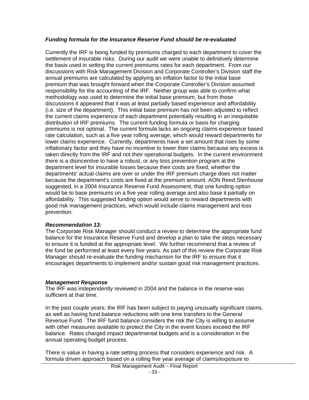# *Funding formula for the Insurance Reserve Fund should be re-evaluated*

Currently the IRF is being funded by premiums charged to each department to cover the settlement of insurable risks. During our audit we were unable to definitively determine the basis used in setting the current premiums rates for each department. From our discussions with Risk Management Division and Corporate Controller's Division staff the annual premiums are calculated by applying an inflation factor to the initial base premium that was brought forward when the Corporate Controller's Division assumed responsibility for the accounting of the IRF. Neither group was able to confirm what methodology was used to determine the initial base premium, but from those discussions it appeared that it was at least partially based experience and affordability (i.e. size of the department). This initial base premium has not been adjusted to reflect the current claims experience of each department potentially resulting in an inequitable distribution of IRF premiums. The current funding formula or basis for charging premiums is not optimal. The current formula lacks an ongoing claims experience based rate calculation, such as a five year rolling average, which would reward departments for lower claims experience. Currently, departments have a set amount that rises by some inflationary factor and they have no incentive to lower their claims because any excess is taken directly from the IRF and not their operational budgets. In the current environment there is a disincentive to have a robust, or any loss prevention program at the department level for insurable losses because their costs are fixed, whether the departments' actual claims are over or under the IRF premium charge does not matter because the department's costs are fixed at the premium amount. AON Reed Stenhouse suggested, in a 2004 Insurance Reserve Fund Assessment, that one funding option would be to base premiums on a five year rolling average and also base it partially on affordability. This suggested funding option would serve to reward departments with good risk management practices, which would include claims management and loss prevention.

#### *Recommendation 13:*

The Corporate Risk Manager should conduct a review to determine the appropriate fund balance for the Insurance Reserve Fund and develop a plan to take the steps necessary to ensure it is funded at the appropriate level. We further recommend that a review of the fund be performed at least every five years. As part of this review the Corporate Risk Manager should re-evaluate the funding mechanism for the IRF to ensure that it encourages departments to implement and/or sustain good risk management practices.

#### *Management Response*

The IRF was independently reviewed in 2004 and the balance in the reserve was sufficient at that time.

In the past couple years; the IRF has been subject to paying unusually significant claims, as well as having fund balance reductions with one time transfers to the General Revenue Fund. The IRF fund balance considers the risk the City is willing to assume with other measures available to protect the City in the event losses exceed the IRF balance. Rates charged impact departmental budgets and is a consideration in the annual operating budget process.

There is value in having a rate setting process that considers experience and risk. A formula driven approach based on a rolling five year average of claims/exposure to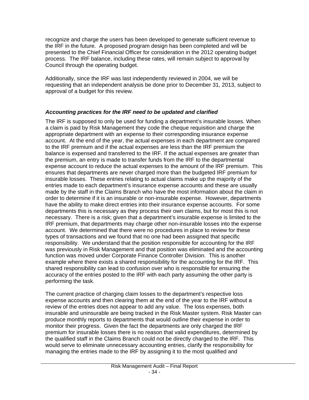recognize and charge the users has been developed to generate sufficient revenue to the IRF in the future. A proposed program design has been completed and will be presented to the Chief Financial Officer for consideration in the 2012 operating budget process. The IRF balance, including these rates, will remain subject to approval by Council through the operating budget.

Additionally, since the IRF was last independently reviewed in 2004, we will be requesting that an independent analysis be done prior to December 31, 2013, subject to approval of a budget for this review.

# *Accounting practices for the IRF need to be updated and clarified*

The IRF is supposed to only be used for funding a department's insurable losses. When a claim is paid by Risk Management they code the cheque requisition and charge the appropriate department with an expense to their corresponding insurance expense account. At the end of the year, the actual expenses in each department are compared to the IRF premium and if the actual expenses are less than the IRF premium the balance is expensed and transferred to the IRF. If the actual expenses are greater than the premium, an entry is made to transfer funds from the IRF to the departmental expense account to reduce the actual expenses to the amount of the IRF premium. This ensures that departments are never charged more than the budgeted IRF premium for insurable losses. These entries relating to actual claims make up the majority of the entries made to each department's insurance expense accounts and these are usually made by the staff in the Claims Branch who have the most information about the claim in order to determine if it is an insurable or non-insurable expense. However, departments have the ability to make direct entries into their insurance expense accounts. For some departments this is necessary as they process their own claims, but for most this is not necessary. There is a risk; given that a department's insurable expense is limited to the IRF premium, that departments may charge other non-insurable losses into the expense account. We determined that there were no procedures in place to review for these types of transactions and we found that no one had been assigned that specific responsibility. We understand that the position responsible for accounting for the IRF was previously in Risk Management and that position was eliminated and the accounting function was moved under Corporate Finance Controller Division. This is another example where there exists a shared responsibility for the accounting for the IRF. This shared responsibility can lead to confusion over who is responsible for ensuring the accuracy of the entries posted to the IRF with each party assuming the other party is performing the task.

The current practice of charging claim losses to the department's respective loss expense accounts and then clearing them at the end of the year to the IRF without a review of the entries does not appear to add any value. The loss expenses, both insurable and uninsurable are being tracked in the Risk Master system. Risk Master can produce monthly reports to departments that would outline their expense in order to monitor their progress. Given the fact the departments are only charged the IRF premium for insurable losses there is no reason that valid expenditures, determined by the qualified staff in the Claims Branch could not be directly charged to the IRF. This would serve to eliminate unnecessary accounting entries, clarify the responsibility for managing the entries made to the IRF by assigning it to the most qualified and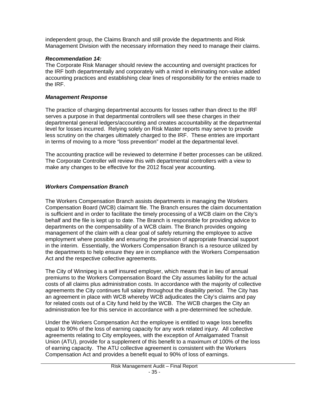<span id="page-35-0"></span>independent group, the Claims Branch and still provide the departments and Risk Management Division with the necessary information they need to manage their claims.

# *Recommendation 14:*

The Corporate Risk Manager should review the accounting and oversight practices for the IRF both departmentally and corporately with a mind in eliminating non-value added accounting practices and establishing clear lines of responsibility for the entries made to the IRF.

# *Management Response*

The practice of charging departmental accounts for losses rather than direct to the IRF serves a purpose in that departmental controllers will see these charges in their departmental general ledgers/accounting and creates accountability at the departmental level for losses incurred. Relying solely on Risk Master reports may serve to provide less scrutiny on the charges ultimately charged to the IRF. These entries are important in terms of moving to a more "loss prevention" model at the departmental level.

The accounting practice will be reviewed to determine if better processes can be utilized. The Corporate Controller will review this with departmental controllers with a view to make any changes to be effective for the 2012 fiscal year accounting.

# *Workers Compensation Branch*

The Workers Compensation Branch assists departments in managing the Workers Compensation Board (WCB) claimant file. The Branch ensures the claim documentation is sufficient and in order to facilitate the timely processing of a WCB claim on the City's behalf and the file is kept up to date. The Branch is responsible for providing advice to departments on the compensability of a WCB claim. The Branch provides ongoing management of the claim with a clear goal of safely returning the employee to active employment where possible and ensuring the provision of appropriate financial support in the interim. Essentially, the Workers Compensation Branch is a resource utilized by the departments to help ensure they are in compliance with the Workers Compensation Act and the respective collective agreements.

The City of Winnipeg is a self insured employer, which means that in lieu of annual premiums to the Workers Compensation Board the City assumes liability for the actual costs of all claims plus administration costs. In accordance with the majority of collective agreements the City continues full salary throughout the disability period. The City has an agreement in place with WCB whereby WCB adjudicates the City's claims and pay for related costs out of a City fund held by the WCB. The WCB charges the City an administration fee for this service in accordance with a pre-determined fee schedule.

Under the Workers Compensation Act the employee is entitled to wage loss benefits equal to 90% of the loss of earning capacity for any work related injury. All collective agreements relating to City employees, with the exception of Amalgamated Transit Union (ATU), provide for a supplement of this benefit to a maximum of 100% of the loss of earning capacity. The ATU collective agreement is consistent with the Workers Compensation Act and provides a benefit equal to 90% of loss of earnings.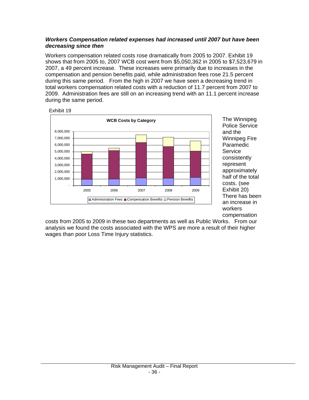### *Workers Compensation related expenses had increased until 2007 but have been decreasing since then*

Workers compensation related costs rose dramatically from 2005 to 2007. Exhibit 19 shows that from 2005 to, 2007 WCB cost went from \$5,050,362 in 2005 to \$7,523,679 in 2007, a 49 percent increase. These increases were primarily due to increases in the compensation and pension benefits paid, while administration fees rose 21.5 percent during this same period. From the high in 2007 we have seen a decreasing trend in total workers compensation related costs with a reduction of 11.7 percent from 2007 to 2009. Administration fees are still on an increasing trend with an 11.1 percent increase during the same period.



The Winnipeg Police Service and the Winnipeg Fire Paramedic **Service** consistently represent approximately half of the total costs. (see Exhibit 20) There has been an increase in workers compensation

costs from 2005 to 2009 in these two departments as well as Public Works. From our analysis we found the costs associated with the WPS are more a result of their higher wages than poor Loss Time Injury statistics.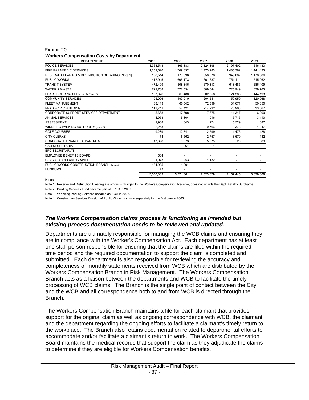#### Exhibit 20

#### **Workers Compensation Costs by Department**

| <b>DEPARTMENT</b>                                 | 2005      | 2006                     | 2007      | 2008                     | 2009                     |
|---------------------------------------------------|-----------|--------------------------|-----------|--------------------------|--------------------------|
| <b>POLICE SERVICES</b>                            | 1,368,518 | 1,365,883                | 2,124,398 | 2,197,402                | 1,616,183                |
| FIRE PARAMEDIC SERVICES                           | 1.252.620 | 1.709.832                | 1,773,283 | 1,485,362                | 1,441,423                |
| RESERVE CLEARING & DISTRIBUTION CLEARING (Note 1) | 158.514   | 173.396                  | 858.878   | 949.087                  | 1,178,586                |
| PUBLIC WORKS                                      | 412.945   | 606.173                  | 661.637   | 751,114                  | 715,062                  |
| <b>TRANSIT SYSTEM</b>                             | 472.499   | 508.846                  | 670.313   | 618.485                  | 686,409                  |
| <b>WATER &amp; WASTE</b>                          | 721.738   | 772.534                  | 809,644   | 725.949                  | 639.763                  |
| PP&D - BUILDING SERVICES (Note 2)                 | 137.076   | 63,480                   | 82,358    | 124.383                  | 144,193                  |
| <b>COMMUNITY SERVICES</b>                         | 95.006    | 199,910                  | 204,541   | 150.950                  | 120,968                  |
| <b>FLEET MANAGEMENT</b>                           | 88.113    | 66.542                   | 72.898    | 31.671                   | 50.050                   |
| PP&D - CIVIC BUILDING                             | 113.741   | 52.421                   | 214,232   | 75.908                   | 33,867                   |
| CORPORATE SUPPORT SERVICES DEPARTMENT             | 5.668     | 17,598                   | 7.675     | 11.347                   | 6,200                    |
| <b>ANIMAL SERVICES</b>                            | 4,958     | 5.304                    | 11.016    | 15.715                   | 3,110                    |
| <b>ASSESSMENT</b>                                 | 1.988     | 4,343                    | 1.274     | 5,529                    | 1,387                    |
| WINNIPEG PARKING AUTHORITY (Note 3)               | 2,253     |                          | 9.766     | 9,378                    | 1,247                    |
| <b>GOLF COURSES</b>                               | 9.289     | 12.741                   | 12.799    | 1.476                    | 1.128                    |
| <b>CITY CLERKS</b>                                | 74        | 6.562                    | 2.757     | 3,670                    | 142                      |
| CORPORATE FINANCE DEPARTMENT                      | 17,698    | 6.873                    | 5.075     | 20                       | 89                       |
| <b>CAO SECRETARIAT</b>                            | ٠         | 264                      | 4         | ۰                        | $\sim$                   |
| <b>EPC SECRETARIAT</b>                            | ٠         | $\overline{\phantom{a}}$ | ٠         | ٠                        | $\overline{\phantom{a}}$ |
| <b>EMPLOYEE BENEFITS BOARD</b>                    | 684       | ٠                        |           | $\overline{\phantom{a}}$ |                          |
| <b>GLACIAL SAND AND GRAVEL</b>                    | 1.973     | 953                      | 1.132     | $\overline{\phantom{a}}$ |                          |
| PUBLIC WORKS-CONSTRUCTION BRANCH (Note 4)         | 184.985   | 1,204                    |           | $\overline{\phantom{a}}$ |                          |
| <b>MUSEUMS</b>                                    | 23        |                          |           | ٠                        |                          |
|                                                   | 5.050.362 | 5,574,861                | 7,523,679 | 7,157,445                | 6,639,808                |

#### Notes:

Note 1 Reserve and Distribution Clearing are amounts charged to the Workers Compensation Reserve, does not include the Dept. Fatality Surcharge

Note 2 Building Services Fund became part of PP&D in 2007.

Note 3 Winnipeg Parking Services became an SOA in 2006.

Note 4 Construction Services Division of Public Works is shown separately for the first time in 2005.

### *The Workers Compensation claims process is functioning as intended but existing process documentation needs to be reviewed and updated.*

Departments are ultimately responsible for managing the WCB claims and ensuring they are in compliance with the Worker's Compensation Act. Each department has at least one staff person responsible for ensuring that the claims are filed within the required time period and the required documentation to support the claim is completed and submitted. Each department is also responsible for reviewing the accuracy and completeness of monthly statements received from WCB which are distributed by the Workers Compensation Branch in Risk Management. The Workers Compensation Branch acts as a liaison between the departments and WCB to facilitate the timely processing of WCB claims. The Branch is the single point of contact between the City and the WCB and all correspondence both to and from WCB is directed through the Branch.

The Workers Compensation Branch maintains a file for each claimant that provides support for the original claim as well as ongoing correspondence with WCB, the claimant and the department regarding the ongoing efforts to facilitate a claimant's timely return to the workplace. The Branch also retains documentation related to departmental efforts to accommodate and/or facilitate a claimant's return to work. The Workers Compensation Board maintains the medical records that support the claim as they adjudicate the claims to determine if they are eligible for Workers Compensation benefits.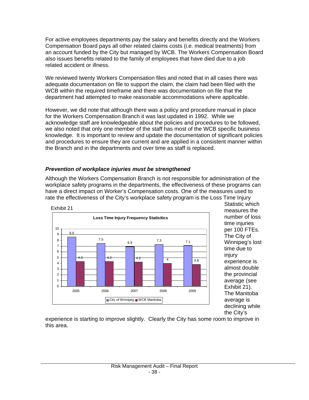For active employees departments pay the salary and benefits directly and the Workers Compensation Board pays all other related claims costs (i.e. medical treatments) from an account funded by the City but managed by WCB. The Workers Compensation Board also issues benefits related to the family of employees that have died due to a job related accident or illness.

We reviewed twenty Workers Compensation files and noted that in all cases there was adequate documentation on file to support the claim, the claim had been filed with the WCB within the required timeframe and there was documentation on file that the department had attempted to make reasonable accommodations where applicable.

However, we did note that although there was a policy and procedure manual in place for the Workers Compensation Branch it was last updated in 1992. While we acknowledge staff are knowledgeable about the policies and procedures to be followed, we also noted that only one member of the staff has most of the WCB specific business knowledge. It is important to review and update the documentation of significant policies and procedures to ensure they are current and are applied in a consistent manner within the Branch and in the departments and over time as staff is replaced.

# *Prevention of workplace injuries must be strengthened*

Although the Workers Compensation Branch is not responsible for administration of the workplace safety programs in the departments, the effectiveness of these programs can have a direct impact on Worker's Compensation costs. One of the measures used to rate the effectiveness of the City's workplace safety program is the Loss Time Injury



Statistic which measures the number of loss time injuries per 100 FTEs. The City of Winnipeg's lost time due to injury experience is almost double the provincial average (see Exhibit 21). The Manitoba average is declining while the City's

experience is starting to improve slightly. Clearly the City has some room to improve in this area.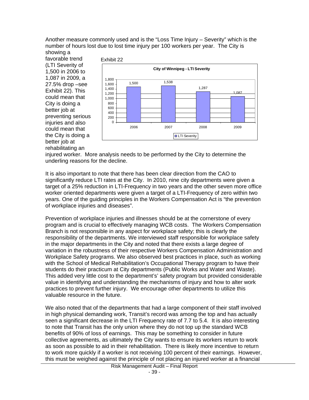Another measure commonly used and is the "Loss Time Injury – Severity" which is the number of hours lost due to lost time injury per 100 workers per year. The City is

showing a favorable trend (LTI Severity of 1,500 in 2006 to 1,087 in 2009, a 27.5% drop –see Exhibit 22). This could mean that City is doing a better job at preventing serious iniuries and also could mean that the City is doing a better job at rehabilitating an



injured worker. More analysis needs to be performed by the City to determine the underling reasons for the decline.

It is also important to note that there has been clear direction from the CAO to significantly reduce LTI rates at the City. In 2010, nine city departments were given a target of a 25% reduction in LTI-Frequency in two years and the other seven more office worker oriented departments were given a target of a LTI-Frequency of zero within two years. One of the guiding principles in the Workers Compensation Act is "the prevention of workplace injuries and diseases".

Prevention of workplace injuries and illnesses should be at the cornerstone of every program and is crucial to effectively managing WCB costs. The Workers Compensation Branch is not responsible in any aspect for workplace safety; this is clearly the responsibility of the departments. We interviewed staff responsible for workplace safety in the major departments in the City and noted that there exists a large degree of variation in the robustness of their respective Workers Compensation Administration and Workplace Safety programs. We also observed best practices in place, such as working with the School of Medical Rehabilitation's Occupational Therapy program to have their students do their practicum at City departments (Public Works and Water and Waste). This added very little cost to the department's' safety program but provided considerable value in identifying and understanding the mechanisms of injury and how to alter work practices to prevent further injury. We encourage other departments to utilize this valuable resource in the future.

We also noted that of the departments that had a large component of their staff involved in high physical demanding work, Transit's record was among the top and has actually seen a significant decrease in the LTI Frequency rate of 7.7 to 5.4. It is also interesting to note that Transit has the only union where they do not top up the standard WCB benefits of 90% of loss of earnings. This may be something to consider in future collective agreements, as ultimately the City wants to ensure its workers return to work as soon as possible to aid in their rehabilitation. There is likely more incentive to return to work more quickly if a worker is not receiving 100 percent of their earnings. However, this must be weighed against the principle of not placing an injured worker at a financial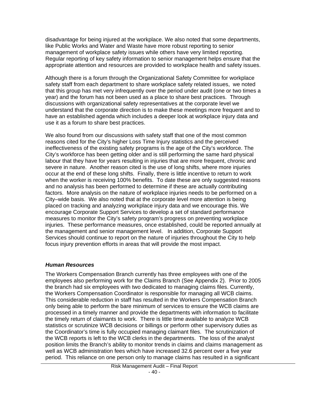disadvantage for being injured at the workplace. We also noted that some departments, like Public Works and Water and Waste have more robust reporting to senior management of workplace safety issues while others have very limited reporting. Regular reporting of key safety information to senior management helps ensure that the appropriate attention and resources are provided to workplace health and safety issues.

Although there is a forum through the Organizational Safety Committee for workplace safety staff from each department to share workplace safety related issues, we noted that this group has met very infrequently over the period under audit (one or two times a year) and the forum has not been used as a place to share best practices. Through discussions with organizational safety representatives at the corporate level we understand that the corporate direction is to make these meetings more frequent and to have an established agenda which includes a deeper look at workplace injury data and use it as a forum to share best practices.

We also found from our discussions with safety staff that one of the most common reasons cited for the City's higher Loss Time Injury statistics and the perceived ineffectiveness of the existing safety programs is the age of the City's workforce. The City's workforce has been getting older and is still performing the same hard physical labour that they have for years resulting in injuries that are more frequent, chronic and severe in nature. Another reason cited is the use of long shifts, where more injuries occur at the end of these long shifts. Finally, there is little incentive to return to work when the worker is receiving 100% benefits. To date these are only suggested reasons and no analysis has been performed to determine if these are actually contributing factors. More analysis on the nature of workplace injuries needs to be performed on a City–wide basis. We also noted that at the corporate level more attention is being placed on tracking and analyzing workplace injury data and we encourage this. We encourage Corporate Support Services to develop a set of standard performance measures to monitor the City's safety program's progress on preventing workplace injuries. These performance measures, once established, could be reported annually at the management and senior management level. In addition, Corporate Support Services should continue to report on the nature of injuries throughout the City to help focus injury prevention efforts in areas that will provide the most impact.

#### *Human Resources*

The Workers Compensation Branch currently has three employees with one of the employees also performing work for the Claims Branch (See Appendix 2). Prior to 2005 the branch had six employees with two dedicated to managing claims files. Currently, the Workers Compensation Coordinator is responsible for managing all WCB claims. This considerable reduction in staff has resulted in the Workers Compensation Branch only being able to perform the bare minimum of services to ensure the WCB claims are processed in a timely manner and provide the departments with information to facilitate the timely return of claimants to work. There is little time available to analyze WCB statistics or scrutinize WCB decisions or billings or perform other supervisory duties as the Coordinator's time is fully occupied managing claimant files. The scrutinization of the WCB reports is left to the WCB clerks in the departments. The loss of the analyst position limits the Branch's ability to monitor trends in claims and claims management as well as WCB administration fees which have increased 32.6 percent over a five year period. This reliance on one person only to manage claims has resulted in a significant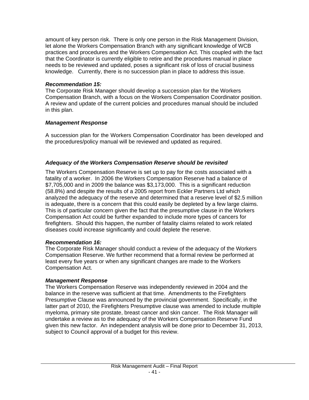amount of key person risk. There is only one person in the Risk Management Division, let alone the Workers Compensation Branch with any significant knowledge of WCB practices and procedures and the Workers Compensation Act. This coupled with the fact that the Coordinator is currently eligible to retire and the procedures manual in place needs to be reviewed and updated, poses a significant risk of loss of crucial business knowledge. Currently, there is no succession plan in place to address this issue.

# *Recommendation 15:*

The Corporate Risk Manager should develop a succession plan for the Workers Compensation Branch, with a focus on the Workers Compensation Coordinator position. A review and update of the current policies and procedures manual should be included in this plan.

### *Management Response*

A succession plan for the Workers Compensation Coordinator has been developed and the procedures/policy manual will be reviewed and updated as required.

# *Adequacy of the Workers Compensation Reserve should be revisited*

The Workers Compensation Reserve is set up to pay for the costs associated with a fatality of a worker. In 2006 the Workers Compensation Reserve had a balance of \$7,705,000 and in 2009 the balance was \$3,173,000. This is a significant reduction (58.8%) and despite the results of a 2005 report from Eckler Partners Ltd which analyzed the adequacy of the reserve and determined that a reserve level of \$2.5 million is adequate, there is a concern that this could easily be depleted by a few large claims. This is of particular concern given the fact that the presumptive clause in the Workers Compensation Act could be further expanded to include more types of cancers for firefighters. Should this happen, the number of fatality claims related to work related diseases could increase significantly and could deplete the reserve.

#### *Recommendation 16:*

The Corporate Risk Manager should conduct a review of the adequacy of the Workers Compensation Reserve. We further recommend that a formal review be performed at least every five years or when any significant changes are made to the Workers Compensation Act.

# *Management Response*

The Workers Compensation Reserve was independently reviewed in 2004 and the balance in the reserve was sufficient at that time. Amendments to the Firefighters Presumptive Clause was announced by the provincial government. Specifically, in the latter part of 2010, the Firefighters Presumptive clause was amended to include multiple myeloma, primary site prostate, breast cancer and skin cancer. The Risk Manager will undertake a review as to the adequacy of the Workers Compensation Reserve Fund given this new factor. An independent analysis will be done prior to December 31, 2013, subject to Council approval of a budget for this review.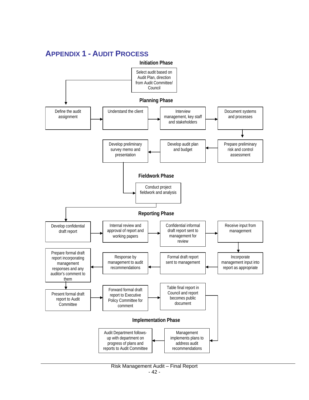<span id="page-42-0"></span>

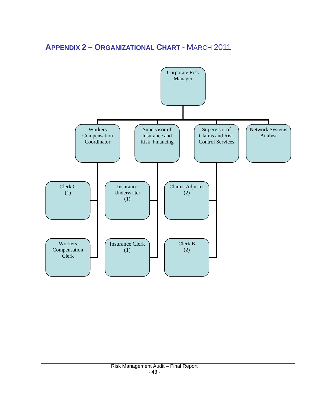# <span id="page-43-0"></span>**APPENDIX 2 – ORGANIZATIONAL CHART** - MARCH 2011

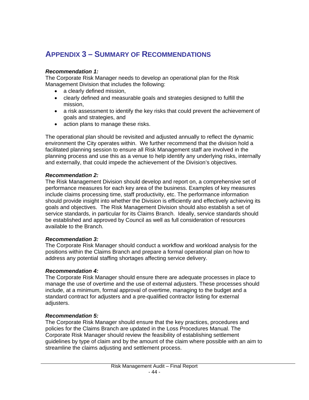# <span id="page-44-0"></span>**APPENDIX 3 – SUMMARY OF RECOMMENDATIONS**

# *Recommendation 1:*

The Corporate Risk Manager needs to develop an operational plan for the Risk Management Division that includes the following:

- a clearly defined mission,
- clearly defined and measurable goals and strategies designed to fulfill the mission,
- a risk assessment to identify the key risks that could prevent the achievement of goals and strategies, and
- action plans to manage these risks.

The operational plan should be revisited and adjusted annually to reflect the dynamic environment the City operates within. We further recommend that the division hold a facilitated planning session to ensure all Risk Management staff are involved in the planning process and use this as a venue to help identify any underlying risks, internally and externally, that could impede the achievement of the Division's objectives.

#### *Recommendation 2:*

The Risk Management Division should develop and report on, a comprehensive set of performance measures for each key area of the business. Examples of key measures include claims processing time, staff productivity, etc. The performance information should provide insight into whether the Division is efficiently and effectively achieving its goals and objectives. The Risk Management Division should also establish a set of service standards, in particular for its Claims Branch. Ideally, service standards should be established and approved by Council as well as full consideration of resources available to the Branch.

#### *Recommendation 3:*

The Corporate Risk Manager should conduct a workflow and workload analysis for the positions within the Claims Branch and prepare a formal operational plan on how to address any potential staffing shortages affecting service delivery.

#### *Recommendation 4:*

The Corporate Risk Manager should ensure there are adequate processes in place to manage the use of overtime and the use of external adjusters. These processes should include, at a minimum, formal approval of overtime, managing to the budget and a standard contract for adjusters and a pre-qualified contractor listing for external adjusters.

# *Recommendation 5:*

The Corporate Risk Manager should ensure that the key practices, procedures and policies for the Claims Branch are updated in the Loss Procedures Manual. The Corporate Risk Manager should review the feasibility of establishing settlement guidelines by type of claim and by the amount of the claim where possible with an aim to streamline the claims adjusting and settlement process.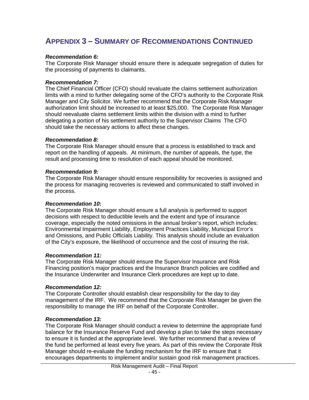# **APPENDIX 3 – SUMMARY OF RECOMMENDATIONS CONTINUED**

#### *Recommendation 6:*

The Corporate Risk Manager should ensure there is adequate segregation of duties for the processing of payments to claimants.

#### *Recommendation 7:*

The Chief Financial Officer (CFO) should revaluate the claims settlement authorization limits with a mind to further delegating some of the CFO's authority to the Corporate Risk Manager and City Solicitor. We further recommend that the Corporate Risk Manager authorization limit should be increased to at least \$25,000. The Corporate Risk Manager should reevaluate claims settlement limits within the division with a mind to further delegating a portion of his settlement authority to the Supervisor Claims The CFO should take the necessary actions to affect these changes.

#### *Recommendation 8:*

The Corporate Risk Manager should ensure that a process is established to track and report on the handling of appeals. At minimum, the number of appeals, the type, the result and processing time to resolution of each appeal should be monitored.

#### *Recommendation 9:*

The Corporate Risk Manager should ensure responsibility for recoveries is assigned and the process for managing recoveries is reviewed and communicated to staff involved in the process.

#### *Recommendation 10:*

The Corporate Risk Manager should ensure a full analysis is performed to support decisions with respect to deductible levels and the extent and type of insurance coverage, especially the noted omissions in the annual broker's report, which includes: Environmental Impairment Liability, Employment Practices Liability, Municipal Error's and Omissions, and Public Officials Liability. This analysis should include an evaluation of the City's exposure, the likelihood of occurrence and the cost of insuring the risk.

#### *Recommendation 11:*

The Corporate Risk Manager should ensure the Supervisor Insurance and Risk Financing position's major practices and the Insurance Branch policies are codified and the Insurance Underwriter and Insurance Clerk procedures are kept up to date.

#### *Recommendation 12:*

The Corporate Controller should establish clear responsibility for the day to day management of the IRF. We recommend that the Corporate Risk Manager be given the responsibility to manage the IRF on behalf of the Corporate Controller.

#### *Recommendation 13:*

The Corporate Risk Manager should conduct a review to determine the appropriate fund balance for the Insurance Reserve Fund and develop a plan to take the steps necessary to ensure it is funded at the appropriate level. We further recommend that a review of the fund be performed at least every five years. As part of this review the Corporate Risk Manager should re-evaluate the funding mechanism for the IRF to ensure that it encourages departments to implement and/or sustain good risk management practices.